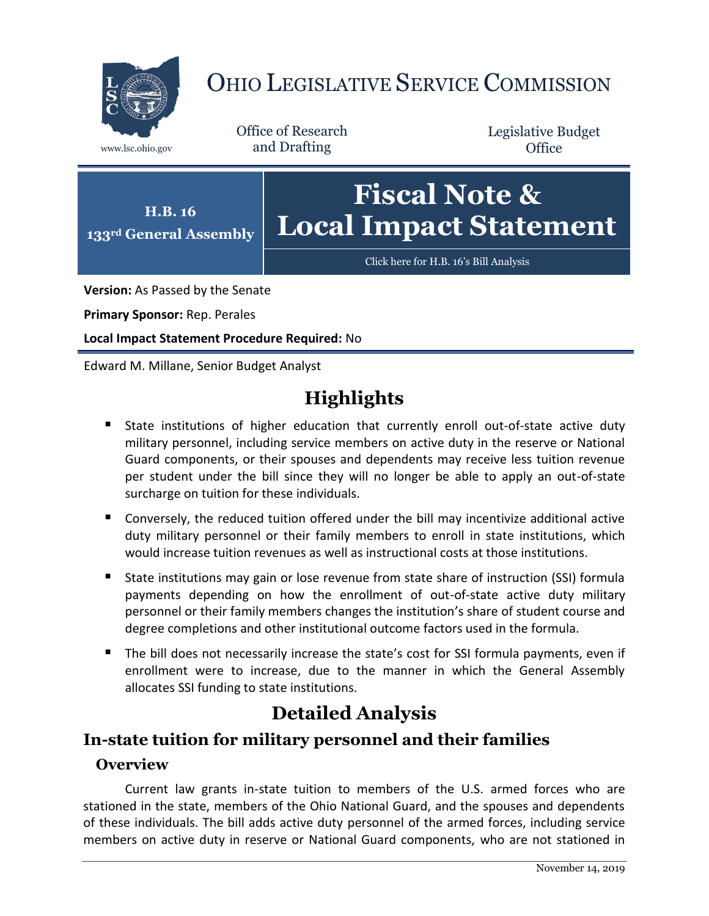

# OHIO LEGISLATIVE SERVICE COMMISSION

Office of Research www.lsc.ohio.gov and Drafting

Legislative Budget **Office** 



**Version:** As Passed by the Senate

**Primary Sponsor:** Rep. Perales

**Local Impact Statement Procedure Required:** No

Edward M. Millane, Senior Budget Analyst

# **Highlights**

- State institutions of higher education that currently enroll out-of-state active duty military personnel, including service members on active duty in the reserve or National Guard components, or their spouses and dependents may receive less tuition revenue per student under the bill since they will no longer be able to apply an out-of-state surcharge on tuition for these individuals.
- Conversely, the reduced tuition offered under the bill may incentivize additional active duty military personnel or their family members to enroll in state institutions, which would increase tuition revenues as well as instructional costs at those institutions.
- State institutions may gain or lose revenue from state share of instruction (SSI) formula payments depending on how the enrollment of out-of-state active duty military personnel or their family members changes the institution's share of student course and degree completions and other institutional outcome factors used in the formula.
- The bill does not necessarily increase the state's cost for SSI formula payments, even if enrollment were to increase, due to the manner in which the General Assembly allocates SSI funding to state institutions.

# **Detailed Analysis**

## **In-state tuition for military personnel and their families**

### **Overview**

Current law grants in-state tuition to members of the U.S. armed forces who are stationed in the state, members of the Ohio National Guard, and the spouses and dependents of these individuals. The bill adds active duty personnel of the armed forces, including service members on active duty in reserve or National Guard components, who are not stationed in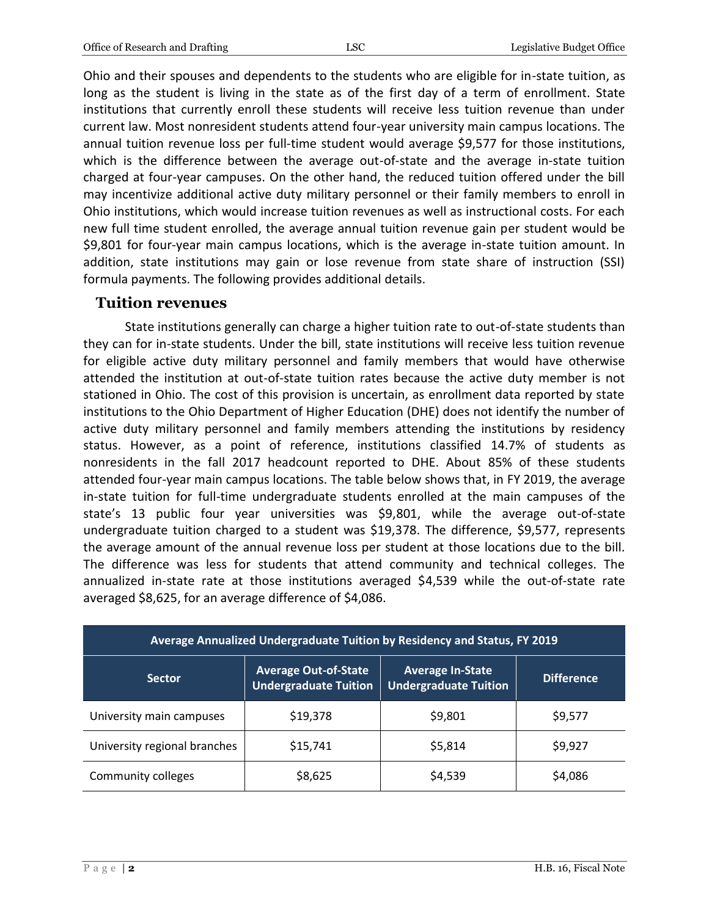Ohio and their spouses and dependents to the students who are eligible for in-state tuition, as long as the student is living in the state as of the first day of a term of enrollment. State institutions that currently enroll these students will receive less tuition revenue than under current law. Most nonresident students attend four-year university main campus locations. The annual tuition revenue loss per full-time student would average \$9,577 for those institutions, which is the difference between the average out-of-state and the average in-state tuition charged at four-year campuses. On the other hand, the reduced tuition offered under the bill may incentivize additional active duty military personnel or their family members to enroll in Ohio institutions, which would increase tuition revenues as well as instructional costs. For each new full time student enrolled, the average annual tuition revenue gain per student would be \$9,801 for four-year main campus locations, which is the average in-state tuition amount. In addition, state institutions may gain or lose revenue from state share of instruction (SSI) formula payments. The following provides additional details.

#### **Tuition revenues**

State institutions generally can charge a higher tuition rate to out-of-state students than they can for in-state students. Under the bill, state institutions will receive less tuition revenue for eligible active duty military personnel and family members that would have otherwise attended the institution at out-of-state tuition rates because the active duty member is not stationed in Ohio. The cost of this provision is uncertain, as enrollment data reported by state institutions to the Ohio Department of Higher Education (DHE) does not identify the number of active duty military personnel and family members attending the institutions by residency status. However, as a point of reference, institutions classified 14.7% of students as nonresidents in the fall 2017 headcount reported to DHE. About 85% of these students attended four-year main campus locations. The table below shows that, in FY 2019, the average in-state tuition for full-time undergraduate students enrolled at the main campuses of the state's 13 public four year universities was \$9,801, while the average out-of-state undergraduate tuition charged to a student was \$19,378. The difference, \$9,577, represents the average amount of the annual revenue loss per student at those locations due to the bill. The difference was less for students that attend community and technical colleges. The annualized in-state rate at those institutions averaged \$4,539 while the out-of-state rate averaged \$8,625, for an average difference of \$4,086.

| Average Annualized Undergraduate Tuition by Residency and Status, FY 2019 |                                                             |                                                         |                   |
|---------------------------------------------------------------------------|-------------------------------------------------------------|---------------------------------------------------------|-------------------|
| <b>Sector</b>                                                             | <b>Average Out-of-State</b><br><b>Undergraduate Tuition</b> | <b>Average In-State</b><br><b>Undergraduate Tuition</b> | <b>Difference</b> |
| University main campuses                                                  | \$19,378                                                    | \$9,801                                                 | \$9,577           |
| University regional branches                                              | \$15,741                                                    | \$5,814                                                 | \$9,927           |
| Community colleges                                                        | \$8,625                                                     | \$4,539                                                 | \$4,086           |